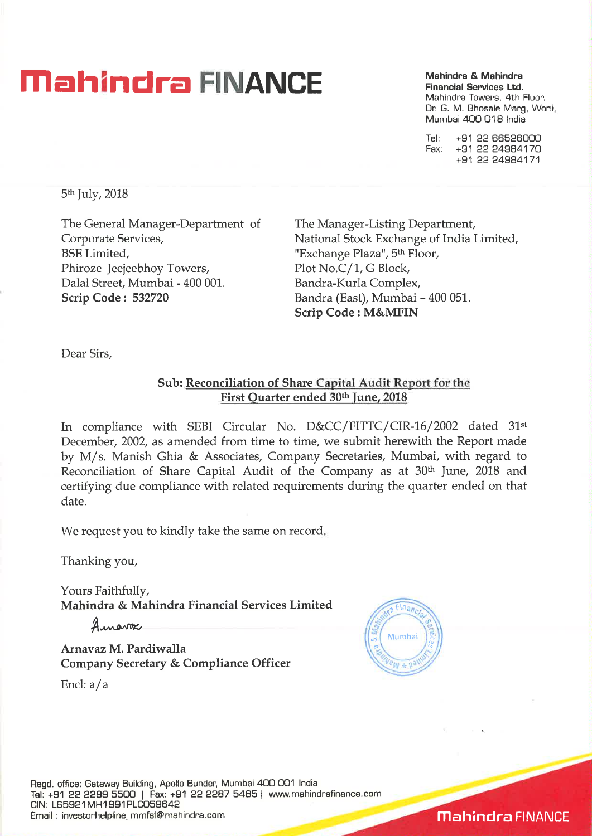# **Mahindra & Mahindra & Mahindra & Mahindra & Mahindra & Mahindra**

**Financial Services Ltd.**  Mahindra Towers, 4th Floor, Dr. G. M. Bhosale Marg, Worli Mumbai 400 018 India

Tel: +91 22 66526000 Fax: +91 22 24984170 +91 22 24984171

5th July, 2018

The General Manager-Department Corporate Services, BSE Limited, Phiroze Jeejeebhoy Towers, Dalal Street, Mumbai - 400 001. **Scrip Code : 532720** 

The Manager-Listing Department, National Stock Exchange of India Limited, "Exchange Plaza", 5<sup>th</sup> Floor, Plot No.C/1, G Block, Bandra-Kurla Complex, Bandra (East), Mumbai - 400 051. **Scrip Code : M&MFIN** 

Dear Sirs,

### **Sub: Reconciliation of Share Capital Audit Report for the First Quarter ended 30th June, 2018**

In compliance with SEBI Circular No. D&CC/FITTC/CIR-16/2002 dated 31st December, 2002, as amended from time to time, we submit herewith the Report made by M/ s. Manish Ghia & Associates, Company Secretaries, Mumbai, with regard to Reconciliation of Share Capital Audit of the Company as at 30<sup>th</sup> June, 2018 and certifying due compliance with related requirements during the quarter ended on that date.

We request you to kindly take the same on record.

Thanking you,

Yours Faithfully, **Mahindra & Mahindra Financial Services Limited** 

Amaroa

**Arnavaz M. Pardiwalla Company Secretary & Compliance Officer** 

Encl: a/a



**Mahindra** FINANCE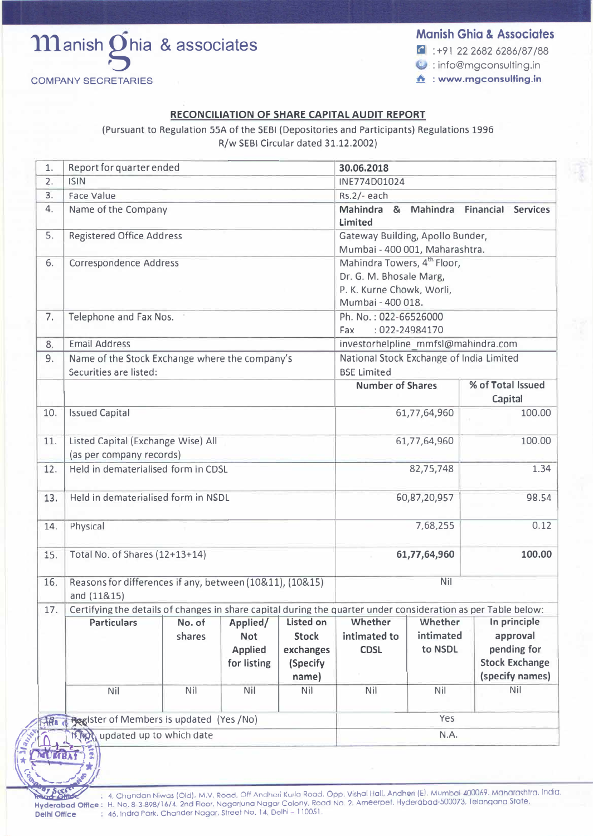

#### **Mcnish Ghia** & **Associates**

 $\text{G}$  : +91 22 2682 6286/87/88

the emgconsulting.in

**1" : www.mgconsulting.in** 

#### **RECONCILIATION OF SHARE CAPITAL AUDIT REPORT**

(Pursuant to Regulation SSA of the SEBI (Depositories and Participants) Regulations 1996 R/w SEBI Circular dated 31.12.2002)

| 1.         | Report for quarter ended                                 |                                                |                |                                                                                                               | 30.06.2018                                                                          |                                          |                              |                       |  |
|------------|----------------------------------------------------------|------------------------------------------------|----------------|---------------------------------------------------------------------------------------------------------------|-------------------------------------------------------------------------------------|------------------------------------------|------------------------------|-----------------------|--|
| 2.         | <b>ISIN</b>                                              |                                                |                | INE774D01024                                                                                                  |                                                                                     |                                          |                              |                       |  |
| 3.<br>4.   | Face Value                                               |                                                |                |                                                                                                               | Rs.2/- each<br>Mahindra &<br><b>Mahindra</b><br><b>Financial</b><br><b>Services</b> |                                          |                              |                       |  |
|            | Name of the Company                                      |                                                |                |                                                                                                               | Limited                                                                             |                                          |                              |                       |  |
| 5.         | <b>Registered Office Address</b>                         | Gateway Building, Apollo Bunder,               |                |                                                                                                               |                                                                                     |                                          |                              |                       |  |
|            |                                                          |                                                |                |                                                                                                               | Mumbai - 400 001, Maharashtra.                                                      |                                          |                              |                       |  |
| 6.         | Correspondence Address                                   |                                                |                |                                                                                                               | Mahindra Towers, 4 <sup>th</sup> Floor,<br>Dr. G. M. Bhosale Marg,                  |                                          |                              |                       |  |
|            |                                                          | P. K. Kurne Chowk, Worli,                      |                |                                                                                                               |                                                                                     |                                          |                              |                       |  |
|            |                                                          | Mumbai - 400 018.                              |                |                                                                                                               |                                                                                     |                                          |                              |                       |  |
| 7.         | Telephone and Fax Nos.                                   |                                                |                |                                                                                                               | Ph. No.: 022-66526000                                                               |                                          |                              |                       |  |
|            |                                                          | : 022-24984170<br>Fax                          |                |                                                                                                               |                                                                                     |                                          |                              |                       |  |
| 8.         | <b>Email Address</b>                                     | investorhelpline_mmfsl@mahindra.com            |                |                                                                                                               |                                                                                     |                                          |                              |                       |  |
| 9.         |                                                          | Name of the Stock Exchange where the company's |                |                                                                                                               |                                                                                     | National Stock Exchange of India Limited |                              |                       |  |
|            | Securities are listed:                                   | <b>BSE Limited</b>                             |                |                                                                                                               |                                                                                     |                                          |                              |                       |  |
|            |                                                          |                                                |                |                                                                                                               | <b>Number of Shares</b>                                                             |                                          | % of Total Issued<br>Capital |                       |  |
| 10.        | <b>Issued Capital</b>                                    |                                                |                |                                                                                                               | 61,77,64,960                                                                        |                                          |                              | 100.00                |  |
| 11.        | Listed Capital (Exchange Wise) All                       |                                                |                | 100.00<br>61,77,64,960                                                                                        |                                                                                     |                                          |                              |                       |  |
|            | (as per company records)                                 |                                                |                |                                                                                                               |                                                                                     |                                          |                              |                       |  |
| 12.        | Held in dematerialised form in CDSL                      |                                                |                | 82,75,748                                                                                                     |                                                                                     | 1.34                                     |                              |                       |  |
| 13.        | Held in dematerialised form in NSDL                      |                                                |                |                                                                                                               | 98.54<br>60,87,20,957                                                               |                                          |                              |                       |  |
| 14.        | Physical                                                 |                                                |                | 7,68,255                                                                                                      |                                                                                     |                                          | 0.12                         |                       |  |
| 15.        | Total No. of Shares (12+13+14)                           |                                                |                |                                                                                                               | 61,77,64,960<br>100.00                                                              |                                          |                              |                       |  |
| 16.        | Reasons for differences if any, between (10&11), (10&15) |                                                |                |                                                                                                               | Nil                                                                                 |                                          |                              |                       |  |
|            | and (11&15)                                              |                                                |                |                                                                                                               |                                                                                     |                                          |                              |                       |  |
| 17.        |                                                          |                                                |                | Certifying the details of changes in share capital during the quarter under consideration as per Table below: |                                                                                     |                                          |                              |                       |  |
|            | <b>Particulars</b>                                       | No. of                                         | Applied/       | Listed on                                                                                                     | Whether                                                                             | Whether                                  |                              | In principle          |  |
|            |                                                          | shares                                         | <b>Not</b>     | <b>Stock</b>                                                                                                  | intimated to                                                                        | intimated                                |                              | approval              |  |
|            |                                                          |                                                | <b>Applied</b> | exchanges                                                                                                     | <b>CDSL</b>                                                                         | to NSDL                                  |                              | pending for           |  |
|            |                                                          |                                                | for listing    | (Specify                                                                                                      |                                                                                     |                                          |                              | <b>Stock Exchange</b> |  |
|            |                                                          |                                                |                | name)                                                                                                         |                                                                                     |                                          |                              | (specify names)       |  |
|            | Nil                                                      | Nil                                            | Nil            | Nil                                                                                                           | Nil                                                                                 | Nil                                      |                              | Nil                   |  |
| <b>18a</b> | Register of Members is updated (Yes /No)                 | Yes                                            |                |                                                                                                               |                                                                                     |                                          |                              |                       |  |
|            | <b>Start 71</b><br>updated up to which date              | N.A.                                           |                |                                                                                                               |                                                                                     |                                          |                              |                       |  |
|            | <b>G6</b>                                                |                                                |                |                                                                                                               |                                                                                     |                                          |                              |                       |  |

rega-

**A American Street Cold), M.V. Road, Off Andheri Kurlo Road, Opp. Vishol Holl, Andheri (E), Mumbai-400069. Maharashtra, India.<br>2007, Party 1. 4, Chandan Niwos (Old), M.V. Road, Off Andheri Kurlo Road, Opp. Vishol Holl, And Hyderabad Office:** H. No. 8-3 898/16/4, 2nd Floor, Nogoriuno Nager Colony. Rood No. 2. Ameerpet. Hyderabad-500073, Telangana State. **Delhi Office** : 46, Indra Pork, Chander Nagar, Street No. 14, Delhi- 110051.